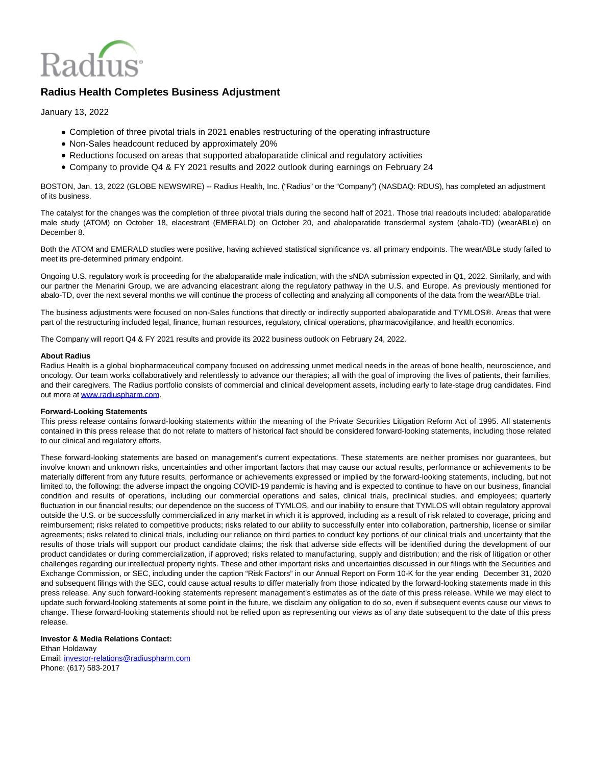

## **Radius Health Completes Business Adjustment**

January 13, 2022

- Completion of three pivotal trials in 2021 enables restructuring of the operating infrastructure
- Non-Sales headcount reduced by approximately 20%
- Reductions focused on areas that supported abaloparatide clinical and regulatory activities
- Company to provide Q4 & FY 2021 results and 2022 outlook during earnings on February 24

BOSTON, Jan. 13, 2022 (GLOBE NEWSWIRE) -- Radius Health, Inc. ("Radius" or the "Company") (NASDAQ: RDUS), has completed an adjustment of its business.

The catalyst for the changes was the completion of three pivotal trials during the second half of 2021. Those trial readouts included: abaloparatide male study (ATOM) on October 18, elacestrant (EMERALD) on October 20, and abaloparatide transdermal system (abalo-TD) (wearABLe) on December 8.

Both the ATOM and EMERALD studies were positive, having achieved statistical significance vs. all primary endpoints. The wearABLe study failed to meet its pre-determined primary endpoint.

Ongoing U.S. regulatory work is proceeding for the abaloparatide male indication, with the sNDA submission expected in Q1, 2022. Similarly, and with our partner the Menarini Group, we are advancing elacestrant along the regulatory pathway in the U.S. and Europe. As previously mentioned for abalo-TD, over the next several months we will continue the process of collecting and analyzing all components of the data from the wearABLe trial.

The business adjustments were focused on non-Sales functions that directly or indirectly supported abaloparatide and TYMLOS®. Areas that were part of the restructuring included legal, finance, human resources, regulatory, clinical operations, pharmacovigilance, and health economics.

The Company will report Q4 & FY 2021 results and provide its 2022 business outlook on February 24, 2022.

## **About Radius**

Radius Health is a global biopharmaceutical company focused on addressing unmet medical needs in the areas of bone health, neuroscience, and oncology. Our team works collaboratively and relentlessly to advance our therapies; all with the goal of improving the lives of patients, their families, and their caregivers. The Radius portfolio consists of commercial and clinical development assets, including early to late-stage drug candidates. Find out more a[t www.radiuspharm.com.](http://www.radiuspharm.com/)

## **Forward-Looking Statements**

This press release contains forward-looking statements within the meaning of the Private Securities Litigation Reform Act of 1995. All statements contained in this press release that do not relate to matters of historical fact should be considered forward-looking statements, including those related to our clinical and regulatory efforts.

These forward-looking statements are based on management's current expectations. These statements are neither promises nor guarantees, but involve known and unknown risks, uncertainties and other important factors that may cause our actual results, performance or achievements to be materially different from any future results, performance or achievements expressed or implied by the forward-looking statements, including, but not limited to, the following: the adverse impact the ongoing COVID-19 pandemic is having and is expected to continue to have on our business, financial condition and results of operations, including our commercial operations and sales, clinical trials, preclinical studies, and employees; quarterly fluctuation in our financial results; our dependence on the success of TYMLOS, and our inability to ensure that TYMLOS will obtain regulatory approval outside the U.S. or be successfully commercialized in any market in which it is approved, including as a result of risk related to coverage, pricing and reimbursement; risks related to competitive products; risks related to our ability to successfully enter into collaboration, partnership, license or similar agreements; risks related to clinical trials, including our reliance on third parties to conduct key portions of our clinical trials and uncertainty that the results of those trials will support our product candidate claims; the risk that adverse side effects will be identified during the development of our product candidates or during commercialization, if approved; risks related to manufacturing, supply and distribution; and the risk of litigation or other challenges regarding our intellectual property rights. These and other important risks and uncertainties discussed in our filings with the Securities and Exchange Commission, or SEC, including under the caption "Risk Factors" in our Annual Report on Form 10-K for the year ending December 31, 2020 and subsequent filings with the SEC, could cause actual results to differ materially from those indicated by the forward-looking statements made in this press release. Any such forward-looking statements represent management's estimates as of the date of this press release. While we may elect to update such forward-looking statements at some point in the future, we disclaim any obligation to do so, even if subsequent events cause our views to change. These forward-looking statements should not be relied upon as representing our views as of any date subsequent to the date of this press release.

## **Investor & Media Relations Contact:** Ethan Holdaway Email[: investor-relations@radiuspharm.com](https://www.globenewswire.com/Tracker?data=OMVb5FlIr4-Q3RyiL6adTZ2OAifLAZOlSvquqREVrOuPOQH_6ny0rRt4X6C4OuBszC3haIMocQF8h6qTsNuYoARmEUJBLriykf8dkgw5cnrDTc2NC1YbRhnuU-wLS_GLHFDzfrzUW6lk1UKniIFvYg==)

Phone: (617) 583-2017